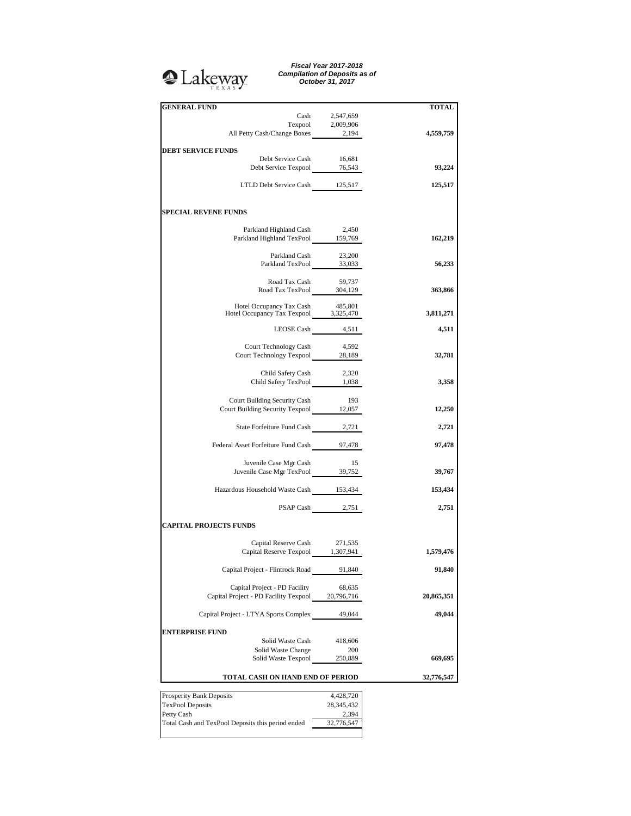## **Q**Lakeway

*Fiscal Year 2017-2018 Compilation of Deposits as of October 31, 2017*

| <b>TOTAL</b> |                  | <b>GENERAL FUND</b>                                                       |
|--------------|------------------|---------------------------------------------------------------------------|
|              | Cash 2,547,659   |                                                                           |
|              |                  |                                                                           |
| 4,559,759    |                  | Texpool 2,009,906<br>All Petty Cash/Change Boxes 2,194                    |
|              |                  |                                                                           |
|              |                  | <b>DEBT SERVICE FUNDS</b>                                                 |
|              | 16,681           | Debt Service Cash                                                         |
| 93,224       |                  | Debt Service Texpool 76,543                                               |
|              |                  |                                                                           |
| 125,517      |                  | LTLD Debt Service Cash 125,517                                            |
|              |                  |                                                                           |
|              |                  | <b>SPECIAL REVENE FUNDS</b>                                               |
|              |                  |                                                                           |
|              | 2,450            | Parkland Highland Cash                                                    |
| 162,219      |                  | Parkland Highland TexPool 159,769                                         |
|              |                  |                                                                           |
|              |                  | Parkland Cash 23,200<br>Parkland TexPool 33,033                           |
| 56,233       |                  |                                                                           |
|              |                  |                                                                           |
|              |                  | Road Tax Cash 59,737<br>Road Tax TexPool 304,129                          |
| 363,866      |                  |                                                                           |
|              |                  |                                                                           |
| 3,811,271    |                  | Hotel Occupancy Tax Cash 485,801<br>Hotel Occupancy Tax Texpool 3,325,470 |
|              |                  |                                                                           |
| 4,511        | LEOSE Cash 4,511 |                                                                           |
|              |                  |                                                                           |
|              | 4,592            | Court Technology Cash<br>Court Technology Texpool 28,189                  |
| 32,781       |                  |                                                                           |
|              |                  |                                                                           |
| 3,358        |                  | Child Safety Cash 2,320<br>Child Safety TexPool 1,038                     |
|              |                  |                                                                           |
|              | - 193            | Court Building Security Cash                                              |
| 12,250       |                  | Court Building Security Texpool 12,057                                    |
|              |                  |                                                                           |
| 2,721        |                  | State Forfeiture Fund Cash 2,721                                          |
|              |                  |                                                                           |
| 97,478       |                  | Federal Asset Forfeiture Fund Cash 97,478                                 |
|              |                  |                                                                           |
|              | - 15             | Juvenile Case Mgr Cash                                                    |
| 39,767       |                  | Juvenile Case Mgr TexPool 39,752                                          |
|              |                  |                                                                           |
| 153,434      |                  | Hazardous Household Waste Cash 153,434                                    |
|              |                  |                                                                           |
| 2,751        | PSAP Cash 2,751  |                                                                           |
|              |                  |                                                                           |
|              |                  | <b>CAPITAL PROJECTS FUNDS</b>                                             |
|              |                  | Capital Reserve Cash 271,535                                              |
| 1,579,476    |                  | Capital Reserve Texpool 1,307,941                                         |
|              |                  |                                                                           |
| 91,840       | 91,840           | Capital Project - Flintrock Road                                          |
|              |                  |                                                                           |
|              | 68,635           | Capital Project - PD Facility                                             |
| 20,865,351   |                  | Capital Project - PD Facility Texpool 20,796,716                          |
|              |                  |                                                                           |
| 49,044       | 49,044           | Capital Project - LTYA Sports Complex                                     |
|              |                  |                                                                           |
|              |                  | <b>ENTERPRISE FUND</b>                                                    |
|              | 418,606          | Solid Waste Cash                                                          |
|              | 200              | Solid Waste Change                                                        |
| 669,695      | 250,889          | Solid Waste Texpool                                                       |
|              |                  |                                                                           |
| 32,776,547   |                  | TOTAL CASH ON HAND END OF PERIOD                                          |
|              | 4,428,720        | Prosperity Bank Deposits                                                  |
|              | 28, 345, 432     | TexPool Deposits                                                          |
|              | 2,394            | Petty Cash                                                                |
|              | 32,776,547       | Total Cash and TexPool Deposits this period ended                         |
|              |                  |                                                                           |